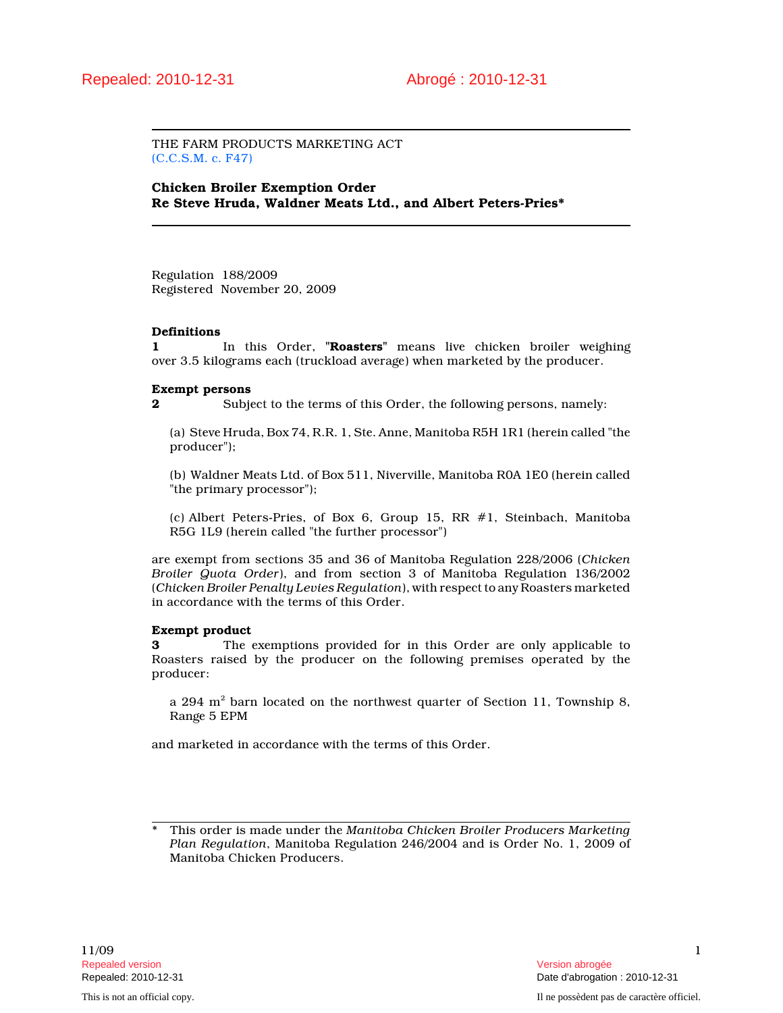THE FARM PRODUCTS MARKETING ACT (C.C.S.M. c. F47)

Chicken Broiler Exemption Order Re Steve Hruda, Waldner Meats Ltd., and Albert Peters-Pries\*

Regulation 188/2009 Registered November 20, 2009

### Definitions

1 In this Order, "Roasters" means live chicken broiler weighing over 3.5 kilograms each (truckload average) when marketed by the producer.

### Exempt persons

2 Subject to the terms of this Order, the following persons, namely:

(a) Steve Hruda, Box 74, R.R. 1, Ste. Anne, Manitoba R5H 1R1 (herein called "the producer");

(b) Waldner Meats Ltd. of Box 511, Niverville, Manitoba R0A 1E0 (herein called "the primary processor");

(c) Albert Peters-Pries, of Box 6, Group 15, RR #1, Steinbach, Manitoba R5G 1L9 (herein called "the further processor")

are exempt from sections 35 and 36 of Manitoba Regulation 228/2006 (Chicken Broiler Quota Order), and from section 3 of Manitoba Regulation 136/2002 (Chicken Broiler Penalty Levies Regulation), with respect to any Roasters marketed in accordance with the terms of this Order.

## Exempt product

3 The exemptions provided for in this Order are only applicable to Roasters raised by the producer on the following premises operated by the producer:

a 294  $\mathrm{m}^2$  barn located on the northwest quarter of Section 11, Township 8, Range 5 EPM

and marketed in accordance with the terms of this Order.

This order is made under the Manitoba Chicken Broiler Producers Marketing Plan Regulation, Manitoba Regulation 246/2004 and is Order No. 1, 2009 of Manitoba Chicken Producers.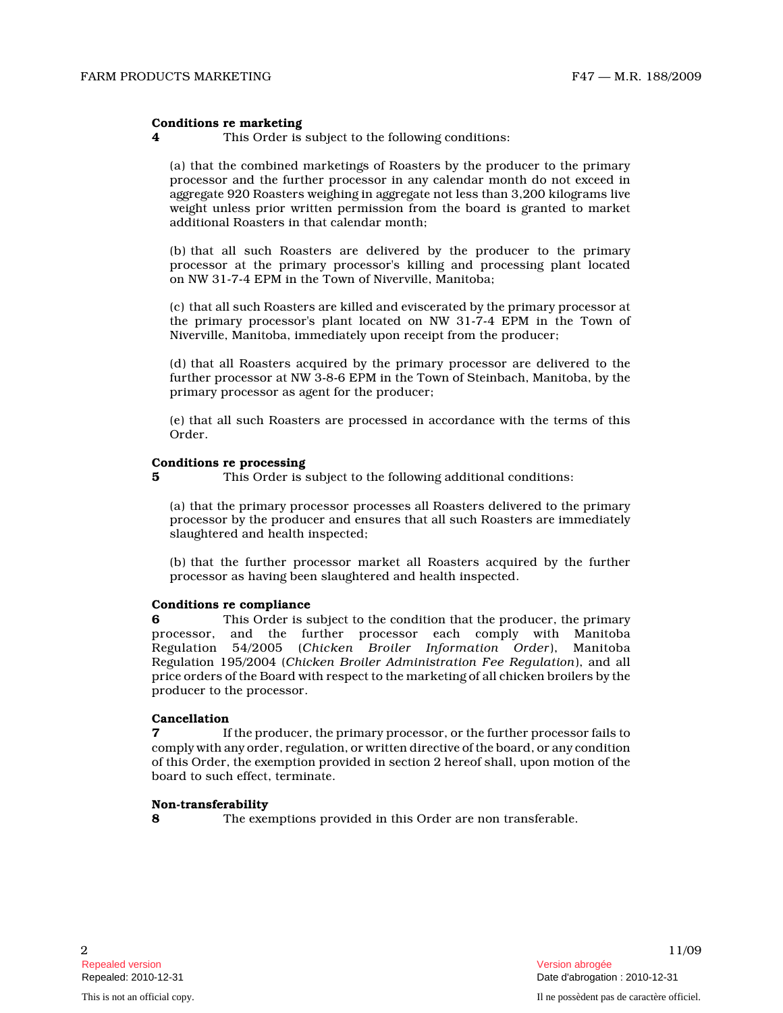### Conditions re marketing

4 This Order is subject to the following conditions:

(a) that the combined marketings of Roasters by the producer to the primary processor and the further processor in any calendar month do not exceed in aggregate 920 Roasters weighing in aggregate not less than 3,200 kilograms live weight unless prior written permission from the board is granted to market additional Roasters in that calendar month;

(b) that all such Roasters are delivered by the producer to the primary processor at the primary processor's killing and processing plant located on NW 31-7-4 EPM in the Town of Niverville, Manitoba;

(c) that all such Roasters are killed and eviscerated by the primary processor at the primary processor's plant located on NW 31-7-4 EPM in the Town of Niverville, Manitoba, immediately upon receipt from the producer;

(d) that all Roasters acquired by the primary processor are delivered to the further processor at NW 3-8-6 EPM in the Town of Steinbach, Manitoba, by the primary processor as agent for the producer;

(e) that all such Roasters are processed in accordance with the terms of this Order.

## Conditions re processing

5 This Order is subject to the following additional conditions:

(a) that the primary processor processes all Roasters delivered to the primary processor by the producer and ensures that all such Roasters are immediately slaughtered and health inspected;

(b) that the further processor market all Roasters acquired by the further processor as having been slaughtered and health inspected.

### Conditions re compliance

6 This Order is subject to the condition that the producer, the primary processor, and the further processor each comply with Manitoba n<br>Regulation 54/2005 (Chicken Broiler Information Order), Manitoba Regulation 195/2004 (Chicken Broiler Administration Fee Regulation), and all price orders of the Board with respect to the marketing of all chicken broilers by the producer to the processor.

# Cancellation

7 **If the producer, the primary processor, or the further processor fails to** comply with any order, regulation, or written directive of the board, or any condition of this Order, the exemption provided in section 2 hereof shall, upon motion of the board to such effect, terminate.

### Non-transferability

8 The exemptions provided in this Order are non transferable.